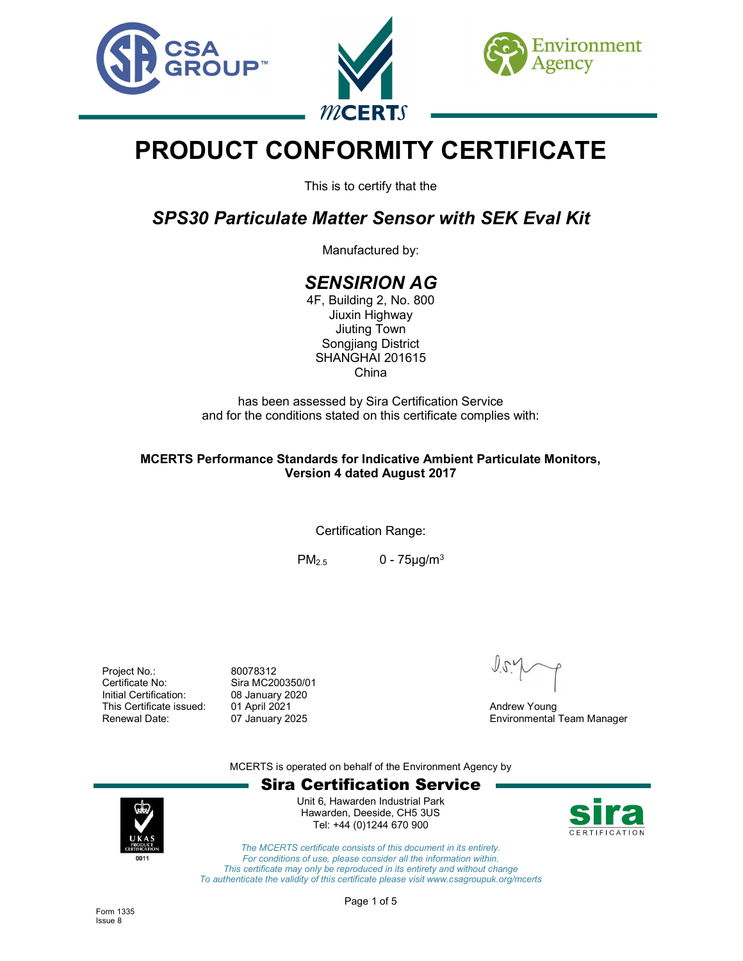

# PRODUCT CONFORMITY CERTIFICATE

This is to certify that the

SPS30 Particulate Matter Sensor with SEK Eval Kit

Manufactured by:

# SENSIRION AG

4F, Building 2, No. 800 Jiuxin Highway Jiuting Town Songjiang District SHANGHAI 201615 China

has been assessed by Sira Certification Service and for the conditions stated on this certificate complies with:

## MCERTS Performance Standards for Indicative Ambient Particulate Monitors, Version 4 dated August 2017

Certification Range:

 $PM_{2.5}$  0 - 75 $\mu$ g/m<sup>3</sup>

Project No.: 80078312 Certificate No: Sira MC200350/01 Initial Certification: 08 January 2020 This Certificate issued: 01 April 2021 **Andrew Young** Andrew Young

Renewal Date: 07 January 2025 Environmental Team Manager

MCERTS is operated on behalf of the Environment Agency by





Unit 6, Hawarden Industrial Park Hawarden, Deeside, CH5 3US Tel: +44 (0)1244 670 900



The MCERTS certificate consists of this document in its entirety. For conditions of use, please consider all the information within. This certificate may only be reproduced in its entirety and without change To authenticate the validity of this certificate please visit www.csagroupuk.org/mcerts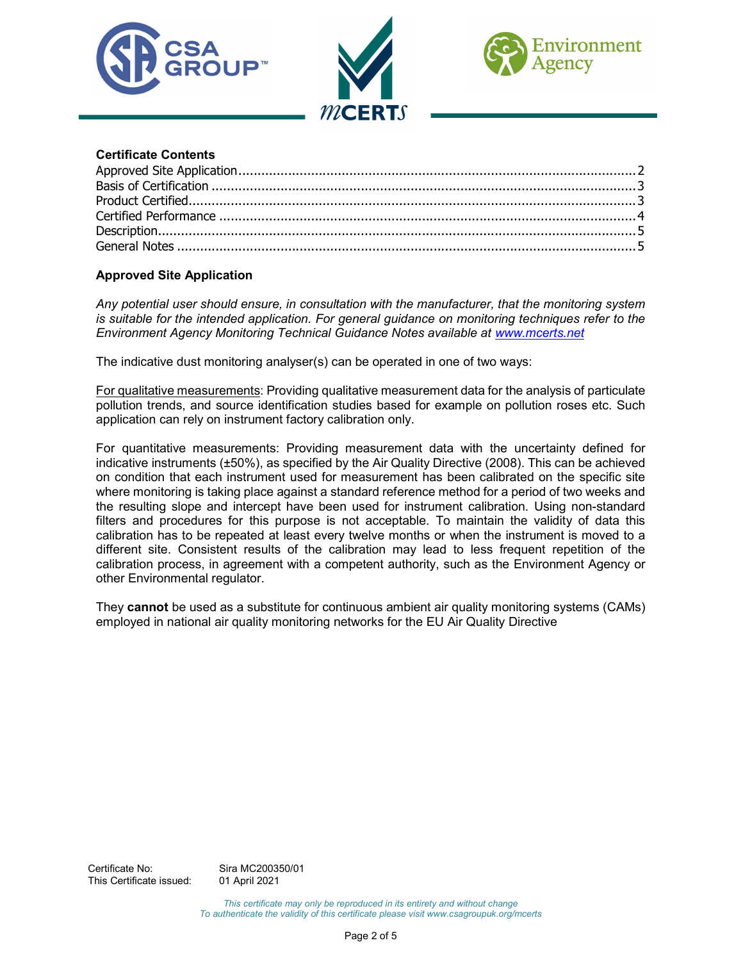





## Certificate Contents

# Approved Site Application

Any potential user should ensure, in consultation with the manufacturer, that the monitoring system is suitable for the intended application. For general guidance on monitoring techniques refer to the Environment Agency Monitoring Technical Guidance Notes available at www.mcerts.net

The indicative dust monitoring analyser(s) can be operated in one of two ways:

For qualitative measurements: Providing qualitative measurement data for the analysis of particulate pollution trends, and source identification studies based for example on pollution roses etc. Such application can rely on instrument factory calibration only.

For quantitative measurements: Providing measurement data with the uncertainty defined for indicative instruments (±50%), as specified by the Air Quality Directive (2008). This can be achieved on condition that each instrument used for measurement has been calibrated on the specific site where monitoring is taking place against a standard reference method for a period of two weeks and the resulting slope and intercept have been used for instrument calibration. Using non-standard filters and procedures for this purpose is not acceptable. To maintain the validity of data this calibration has to be repeated at least every twelve months or when the instrument is moved to a different site. Consistent results of the calibration may lead to less frequent repetition of the calibration process, in agreement with a competent authority, such as the Environment Agency or other Environmental regulator.

They cannot be used as a substitute for continuous ambient air quality monitoring systems (CAMs) employed in national air quality monitoring networks for the EU Air Quality Directive

This certificate may only be reproduced in its entirety and without change To authenticate the validity of this certificate please visit www.csagroupuk.org/mcerts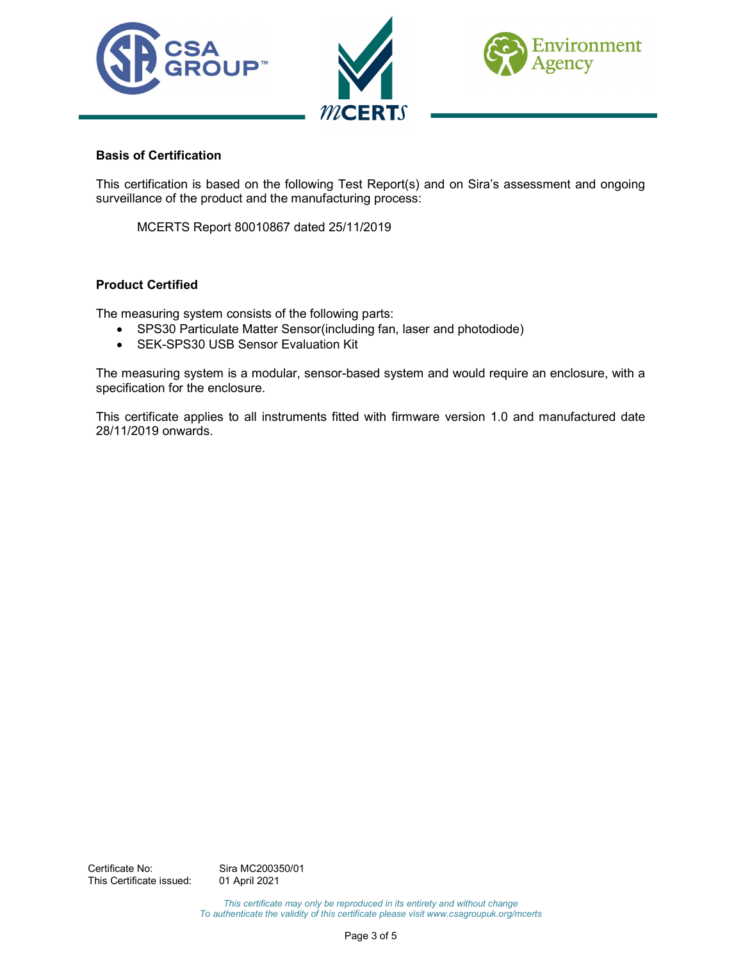

#### Basis of Certification

This certification is based on the following Test Report(s) and on Sira's assessment and ongoing surveillance of the product and the manufacturing process:

MCERTS Report 80010867 dated 25/11/2019

#### Product Certified

The measuring system consists of the following parts:

- SPS30 Particulate Matter Sensor(including fan, laser and photodiode)
- SEK-SPS30 USB Sensor Evaluation Kit

The measuring system is a modular, sensor-based system and would require an enclosure, with a specification for the enclosure.

This certificate applies to all instruments fitted with firmware version 1.0 and manufactured date 28/11/2019 onwards.

This certificate may only be reproduced in its entirety and without change To authenticate the validity of this certificate please visit www.csagroupuk.org/mcerts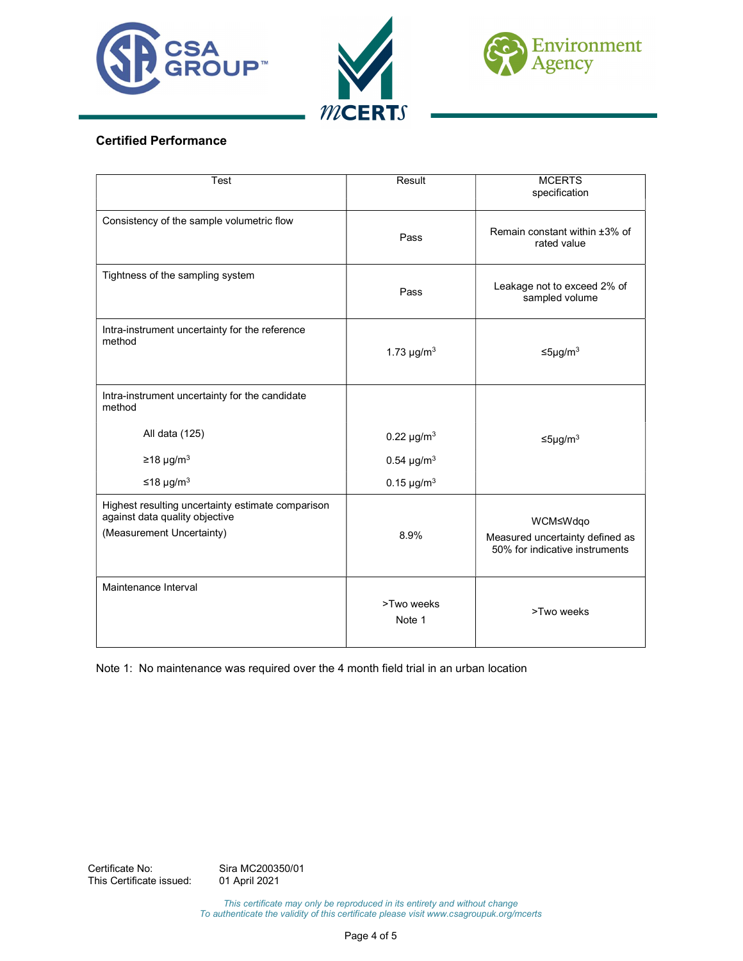





# Certified Performance

| Test                                                                                                             | Result                      | <b>MCERTS</b><br>specification                                                |
|------------------------------------------------------------------------------------------------------------------|-----------------------------|-------------------------------------------------------------------------------|
| Consistency of the sample volumetric flow                                                                        | Pass                        | Remain constant within ±3% of<br>rated value                                  |
| Tightness of the sampling system                                                                                 | Pass                        | Leakage not to exceed 2% of<br>sampled volume                                 |
| Intra-instrument uncertainty for the reference<br>method                                                         | 1.73 $\mu$ g/m <sup>3</sup> | $≤5\mu g/m3$                                                                  |
| Intra-instrument uncertainty for the candidate<br>method                                                         |                             |                                                                               |
| All data (125)                                                                                                   | $0.22 \,\mu g/m^3$          | $≤5\mu g/m3$                                                                  |
| $≥18 \mu g/m3$                                                                                                   | $0.54 \mu g/m^3$            |                                                                               |
| ≤18 µg/m <sup>3</sup>                                                                                            | $0.15 \,\mu g/m^3$          |                                                                               |
| Highest resulting uncertainty estimate comparison<br>against data quality objective<br>(Measurement Uncertainty) | 8.9%                        | WCM≤Wdqo<br>Measured uncertainty defined as<br>50% for indicative instruments |
| Maintenance Interval                                                                                             | >Two weeks<br>Note 1        | >Two weeks                                                                    |

Note 1: No maintenance was required over the 4 month field trial in an urban location